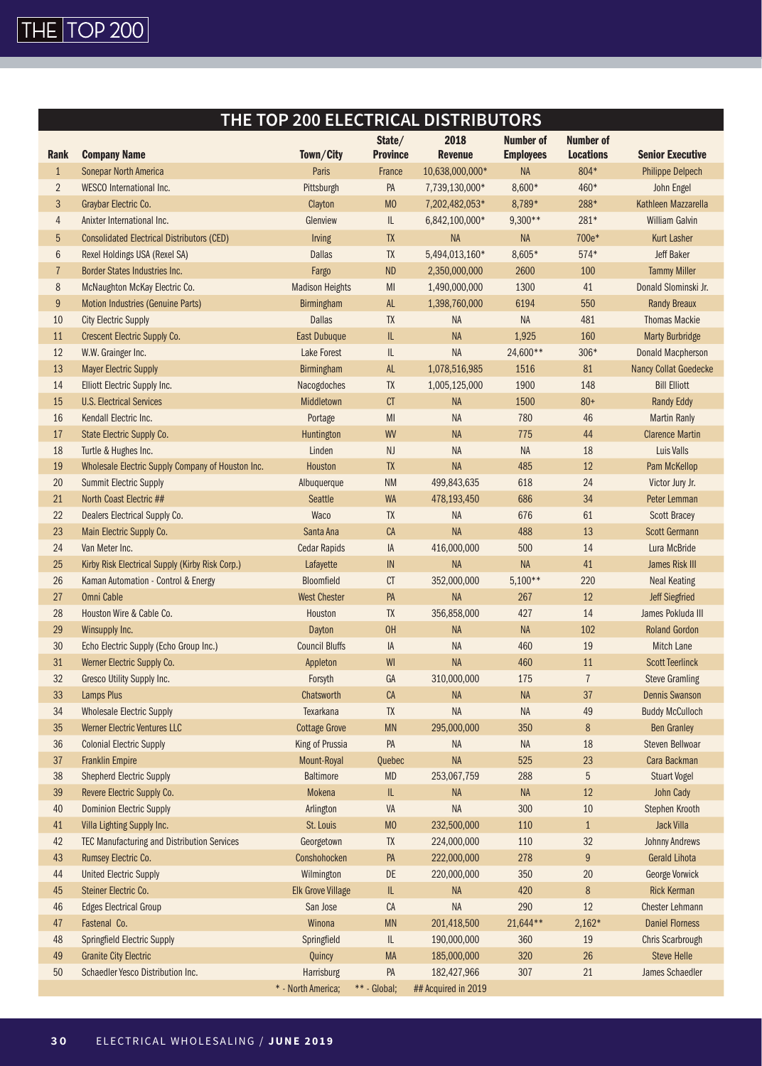

## **THE TOP 200 ELECTRICAL DISTRIBUTORS**

|                |                                                   | Town/City                | State/<br><b>Province</b>         | 2018<br><b>Revenue</b> | Number of        | <b>Number of</b><br><b>Locations</b> | <b>Senior Executive</b> |
|----------------|---------------------------------------------------|--------------------------|-----------------------------------|------------------------|------------------|--------------------------------------|-------------------------|
| <b>Rank</b>    | <b>Company Name</b>                               |                          |                                   |                        | <b>Employees</b> |                                      |                         |
| $\mathbf{1}$   | <b>Sonepar North America</b>                      | Paris                    | France                            | 10,638,000,000*        | <b>NA</b>        | 804*                                 | <b>Philippe Delpech</b> |
| $\overline{2}$ | <b>WESCO</b> International Inc.                   | Pittsburgh               | PA                                | 7,739,130,000*         | $8,600*$         | 460*                                 | John Engel              |
| 3              | Graybar Electric Co.                              | Clayton                  | M <sub>0</sub>                    | 7,202,482,053*         | 8,789*           | 288*                                 | Kathleen Mazzarella     |
| $\overline{4}$ | Anixter International Inc.                        | Glenview                 | IL                                | 6,842,100,000*         | $9,300**$        | 281*                                 | <b>William Galvin</b>   |
| 5              | <b>Consolidated Electrical Distributors (CED)</b> | <b>Irving</b>            | TX                                | <b>NA</b>              | NA               | 700e*                                | <b>Kurt Lasher</b>      |
| $6\,$          | Rexel Holdings USA (Rexel SA)                     | <b>Dallas</b>            | TX                                | 5,494,013,160*         | $8,605*$         | 574*                                 | <b>Jeff Baker</b>       |
| $\overline{1}$ | <b>Border States Industries Inc.</b>              | Fargo                    | <b>ND</b>                         | 2,350,000,000          | 2600             | 100                                  | <b>Tammy Miller</b>     |
| 8              | McNaughton McKay Electric Co.                     | <b>Madison Heights</b>   | MI                                | 1,490,000,000          | 1300             | 41                                   | Donald Slominski Jr.    |
| $9\,$          | <b>Motion Industries (Genuine Parts)</b>          | Birmingham               | <b>AL</b>                         | 1,398,760,000          | 6194             | 550                                  | <b>Randy Breaux</b>     |
| 10             | <b>City Electric Supply</b>                       | <b>Dallas</b>            | <b>TX</b>                         | <b>NA</b>              | NA               | 481                                  | <b>Thomas Mackie</b>    |
| 11             | Crescent Electric Supply Co.                      | East Dubuque             | $\mathsf{I}\mathsf{L}$            | <b>NA</b>              | 1,925            | 160                                  | <b>Marty Burbridge</b>  |
| 12             | W.W. Grainger Inc.                                | Lake Forest              | $\ensuremath{\mathsf{IL}}\xspace$ | NA                     | 24,600**         | 306*                                 | Donald Macpherson       |
| 13             | <b>Mayer Electric Supply</b>                      | <b>Birmingham</b>        | <b>AL</b>                         | 1,078,516,985          | 1516             | 81                                   | Nancy Collat Goedecke   |
| 14             | Elliott Electric Supply Inc.                      | Nacogdoches              | TX                                | 1,005,125,000          | 1900             | 148                                  | <b>Bill Elliott</b>     |
| 15             | <b>U.S. Electrical Services</b>                   | Middletown               | CT                                | <b>NA</b>              | 1500             | $80+$                                | <b>Randy Eddy</b>       |
| 16             | Kendall Electric Inc.                             | Portage                  | MI                                | <b>NA</b>              | 780              | 46                                   | <b>Martin Ranly</b>     |
| 17             | State Electric Supply Co.                         | Huntington               | WV                                | <b>NA</b>              | 775              | 44                                   | <b>Clarence Martin</b>  |
| 18             | Turtle & Hughes Inc.                              | Linden                   | <b>NJ</b>                         | <b>NA</b>              | <b>NA</b>        | 18                                   | Luis Valls              |
| 19             | Wholesale Electric Supply Company of Houston Inc. | Houston                  | <b>TX</b>                         | <b>NA</b>              | 485              | 12                                   | Pam McKellop            |
| 20             | <b>Summit Electric Supply</b>                     | Albuquerque              | <b>NM</b>                         | 499,843,635            | 618              | 24                                   | Victor Jury Jr.         |
| 21             | North Coast Electric ##                           | <b>Seattle</b>           | <b>WA</b>                         | 478,193,450            | 686              | 34                                   | Peter Lemman            |
| 22             | Dealers Electrical Supply Co.                     | Waco                     | <b>TX</b>                         | NA                     | 676              | 61                                   | <b>Scott Bracey</b>     |
| 23             | Main Electric Supply Co.                          | Santa Ana                | CA                                | <b>NA</b>              | 488              | 13                                   | <b>Scott Germann</b>    |
| 24             | Van Meter Inc.                                    | <b>Cedar Rapids</b>      | IA                                | 416,000,000            | 500              | 14                                   | Lura McBride            |
| 25             | Kirby Risk Electrical Supply (Kirby Risk Corp.)   | Lafayette                | IN                                | <b>NA</b>              | <b>NA</b>        | 41                                   | James Risk III          |
| 26             | Kaman Automation - Control & Energy               | Bloomfield               | CT                                | 352,000,000            | $5,100**$        | 220                                  | <b>Neal Keating</b>     |
| 27             | <b>Omni Cable</b>                                 | <b>West Chester</b>      | PA                                | <b>NA</b>              | 267              | 12                                   | <b>Jeff Siegfried</b>   |
| 28             | Houston Wire & Cable Co.                          | Houston                  | TX                                | 356,858,000            | 427              | 14                                   | James Pokluda III       |
| 29             | Winsupply Inc.                                    | Dayton                   | OH                                | <b>NA</b>              | <b>NA</b>        | 102                                  | <b>Roland Gordon</b>    |
| 30             | Echo Electric Supply (Echo Group Inc.)            | <b>Council Bluffs</b>    | IA                                | NA                     | 460              | 19                                   | Mitch Lane              |
| 31             | Werner Electric Supply Co.                        | Appleton                 | WI                                | <b>NA</b>              | 460              | 11                                   | <b>Scott Teerlinck</b>  |
| 32             | Gresco Utility Supply Inc.                        | Forsyth                  | GA                                | 310,000,000            | 175              | $\overline{1}$                       | <b>Steve Gramling</b>   |
| 33             | <b>Lamps Plus</b>                                 | Chatsworth               | CA                                | <b>NA</b>              | <b>NA</b>        | 37                                   | <b>Dennis Swanson</b>   |
| 34             | <b>Wholesale Electric Supply</b>                  | Texarkana                | TX                                | NA                     | <b>NA</b>        | 49                                   | <b>Buddy McCulloch</b>  |
| 35             | <b>Werner Electric Ventures LLC</b>               | <b>Cottage Grove</b>     | <b>MN</b>                         | 295,000,000            | 350              | 8                                    | <b>Ben Granley</b>      |
| 36             | <b>Colonial Electric Supply</b>                   | King of Prussia          | PA                                | NA                     | <b>NA</b>        | 18                                   | <b>Steven Bellwoar</b>  |
| 37             | <b>Franklin Empire</b>                            | Mount-Royal              | Quebec                            | <b>NA</b>              | 525              | 23                                   | Cara Backman            |
| 38             | <b>Shepherd Electric Supply</b>                   | <b>Baltimore</b>         | <b>MD</b>                         | 253,067,759            | 288              | $\sqrt{5}$                           | <b>Stuart Vogel</b>     |
| 39             | Revere Electric Supply Co.                        | Mokena                   | $\ensuremath{\mathsf{IL}}\xspace$ | $\sf NA$               | $\sf NA$         | $12\,$                               | John Cady               |
| 40             | <b>Dominion Electric Supply</b>                   | Arlington                | VA                                | NA                     | 300              | $10\,$                               | Stephen Krooth          |
| 41             | Villa Lighting Supply Inc.                        | St. Louis                | M <sub>0</sub>                    | 232,500,000            | 110              | $\mathbf{1}$                         | Jack Villa              |
| 42             | TEC Manufacturing and Distribution Services       | Georgetown               | TX                                | 224,000,000            | 110              | 32                                   | <b>Johnny Andrews</b>   |
| 43             | Rumsey Electric Co.                               | Conshohocken             | PA                                | 222,000,000            | 278              | $9\phantom{.0}$                      | <b>Gerald Lihota</b>    |
| 44             | <b>United Electric Supply</b>                     | Wilmington               | DE                                | 220,000,000            | 350              | $20\,$                               | George Vorwick          |
| 45             | Steiner Electric Co.                              | <b>Elk Grove Village</b> | $\ensuremath{\mathsf{IL}}\xspace$ | $\sf NA$               | 420              | $\,8\,$                              | <b>Rick Kerman</b>      |
| 46             | <b>Edges Electrical Group</b>                     | San Jose                 | ${\sf CA}$                        | NA                     | 290              | $12\,$                               | <b>Chester Lehmann</b>  |
| 47             | Fastenal Co.                                      | Winona                   | <b>MN</b>                         | 201,418,500            | 21,644**         | $2,162*$                             | <b>Daniel Florness</b>  |
| 48             | Springfield Electric Supply                       | Springfield              | IL                                | 190,000,000            | 360              | 19                                   | <b>Chris Scarbrough</b> |
| 49             | <b>Granite City Electric</b>                      | Quincy                   | MA                                | 185,000,000            | 320              | 26                                   | <b>Steve Helle</b>      |
| 50             | Schaedler Yesco Distribution Inc.                 | Harrisburg               | PA                                | 182,427,966            | 307              | 21                                   | James Schaedler         |
|                |                                                   | * - North America;       | ** - Global;                      | ## Acquired in 2019    |                  |                                      |                         |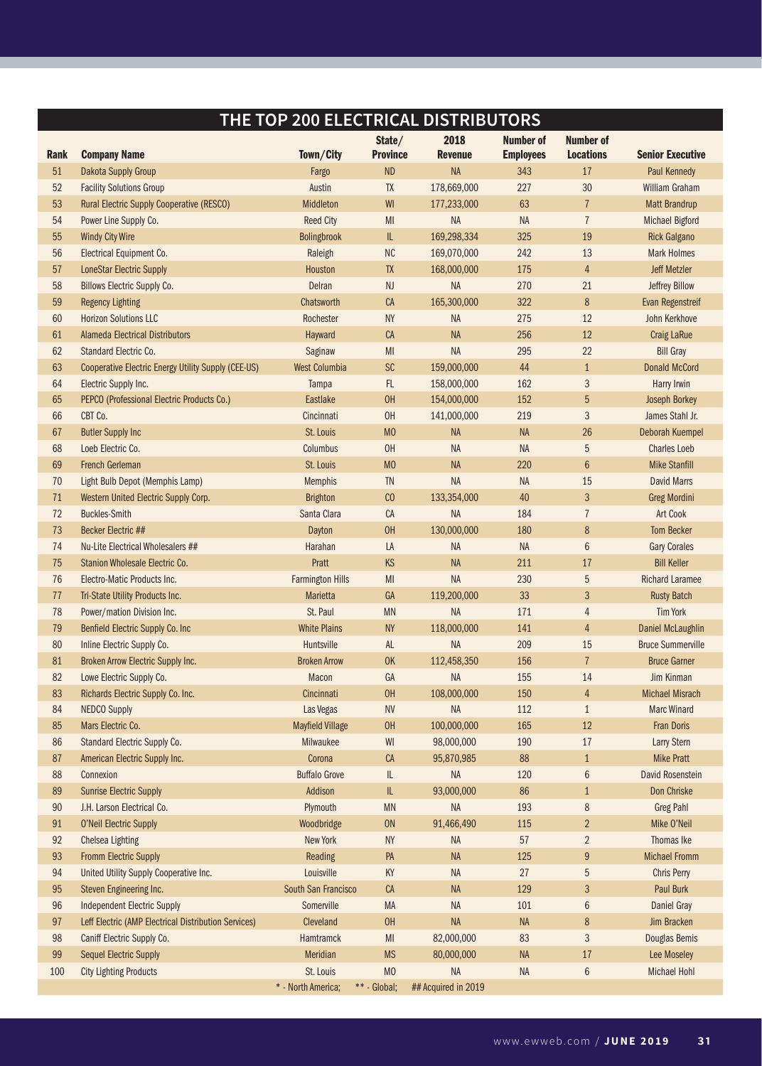## **THE TOP 200 ELECTRICAL DISTRIBUTORS**

| Rank | <b>Company Name</b>                                        | Town/City               | State/<br><b>Province</b>         | 2018<br><b>Revenue</b> | <b>Number of</b><br><b>Employees</b> | Number of<br><b>Locations</b> | <b>Senior Executive</b>  |
|------|------------------------------------------------------------|-------------------------|-----------------------------------|------------------------|--------------------------------------|-------------------------------|--------------------------|
| 51   | Dakota Supply Group                                        | Fargo                   | <b>ND</b>                         | <b>NA</b>              | 343                                  | 17                            | Paul Kennedy             |
| 52   | <b>Facility Solutions Group</b>                            | Austin                  | TX                                | 178,669,000            | 227                                  |                               | William Graham           |
| 53   | Rural Electric Supply Cooperative (RESCO)                  | Middleton               | WI                                | 177,233,000            | 63                                   | 30<br>$\overline{7}$          | <b>Matt Brandrup</b>     |
| 54   | Power Line Supply Co.                                      | <b>Reed City</b>        | MI                                | NA                     | <b>NA</b>                            | $\overline{1}$                | <b>Michael Bigford</b>   |
| 55   | <b>Windy City Wire</b>                                     | Bolingbrook             | $\ensuremath{\mathsf{IL}}\xspace$ | 169,298,334            | 325                                  | 19                            | <b>Rick Galgano</b>      |
| 56   | Electrical Equipment Co.                                   | Raleigh                 | $\rm NC$                          | 169,070,000            | 242                                  | 13                            | <b>Mark Holmes</b>       |
| 57   | <b>LoneStar Electric Supply</b>                            | Houston                 | TX                                | 168,000,000            | 175                                  | $\overline{4}$                | <b>Jeff Metzler</b>      |
| 58   | <b>Billows Electric Supply Co.</b>                         | Delran                  | NJ                                | NA                     | 270                                  | 21                            | Jeffrey Billow           |
| 59   | <b>Regency Lighting</b>                                    | Chatsworth              | CA                                | 165,300,000            | 322                                  | $\bf 8$                       | <b>Evan Regenstreif</b>  |
| 60   | <b>Horizon Solutions LLC</b>                               | Rochester               | <b>NY</b>                         | <b>NA</b>              | 275                                  | 12                            | John Kerkhove            |
| 61   | <b>Alameda Electrical Distributors</b>                     | Hayward                 | CA                                | <b>NA</b>              | 256                                  | 12                            | <b>Craig LaRue</b>       |
| 62   | Standard Electric Co.                                      | Saginaw                 | MI                                | NA                     | 295                                  | 22                            | <b>Bill Gray</b>         |
| 63   | <b>Cooperative Electric Energy Utility Supply (CEE-US)</b> | <b>West Columbia</b>    | <b>SC</b>                         | 159,000,000            | 44                                   | $\mathbf{1}$                  | <b>Donald McCord</b>     |
| 64   | Electric Supply Inc.                                       | Tampa                   | FL.                               | 158,000,000            | 162                                  | $\sqrt{3}$                    | Harry Irwin              |
| 65   | PEPCO (Professional Electric Products Co.)                 | Eastlake                | OH                                | 154,000,000            | 152                                  | $\overline{5}$                | Joseph Borkey            |
| 66   | CBT Co.                                                    | Cincinnati              | 0H                                | 141,000,000            | 219                                  | $\sqrt{3}$                    | James Stahl Jr.          |
| 67   | <b>Butler Supply Inc</b>                                   | St. Louis               | M <sub>0</sub>                    | <b>NA</b>              | <b>NA</b>                            | 26                            | Deborah Kuempel          |
| 68   | Loeb Electric Co.                                          | Columbus                | 0H                                | <b>NA</b>              | <b>NA</b>                            | $\overline{5}$                | <b>Charles Loeb</b>      |
| 69   | <b>French Gerleman</b>                                     | St. Louis               | M <sub>0</sub>                    | <b>NA</b>              | 220                                  | $6\phantom{.}6$               | <b>Mike Stanfill</b>     |
| 70   | Light Bulb Depot (Memphis Lamp)                            | <b>Memphis</b>          | TN                                | <b>NA</b>              | <b>NA</b>                            | 15                            | <b>David Marrs</b>       |
| 71   | Western United Electric Supply Corp.                       | <b>Brighton</b>         | C <sub>0</sub>                    | 133,354,000            | 40                                   | $\sqrt{3}$                    | <b>Greg Mordini</b>      |
| 72   | <b>Buckles-Smith</b>                                       | Santa Clara             | CA                                | NA                     | 184                                  | $\overline{1}$                | Art Cook                 |
| 73   | <b>Becker Electric ##</b>                                  | Dayton                  | OH                                | 130,000,000            | 180                                  | $\bf 8$                       | <b>Tom Becker</b>        |
| 74   | Nu-Lite Electrical Wholesalers ##                          | Harahan                 | LA                                | <b>NA</b>              | <b>NA</b>                            | $\,6\,$                       | <b>Gary Corales</b>      |
| 75   | Stanion Wholesale Electric Co.                             | Pratt                   | <b>KS</b>                         | <b>NA</b>              | 211                                  | 17                            | <b>Bill Keller</b>       |
| 76   | Electro-Matic Products Inc.                                | <b>Farmington Hills</b> | M <sub>l</sub>                    | NA                     | 230                                  | $5\,$                         | <b>Richard Laramee</b>   |
| 77   | Tri-State Utility Products Inc.                            | Marietta                | GA                                | 119,200,000            | 33                                   | 3                             | <b>Rusty Batch</b>       |
| 78   | Power/mation Division Inc.                                 | St. Paul                | <b>MN</b>                         | NA                     | 171                                  | $\overline{4}$                | <b>Tim York</b>          |
| 79   | Benfield Electric Supply Co. Inc                           | <b>White Plains</b>     | <b>NY</b>                         | 118,000,000            | 141                                  | $\overline{4}$                | Daniel McLaughlin        |
| 80   | Inline Electric Supply Co.                                 | Huntsville              | AL                                | <b>NA</b>              | 209                                  | 15                            | <b>Bruce Summerville</b> |
| 81   | Broken Arrow Electric Supply Inc.                          | <b>Broken Arrow</b>     | <b>OK</b>                         | 112,458,350            | 156                                  | $\overline{7}$                | <b>Bruce Garner</b>      |
| 82   | Lowe Electric Supply Co.                                   | Macon                   | GA                                | NA                     | 155                                  | 14                            | Jim Kinman               |
| 83   | Richards Electric Supply Co. Inc.                          | Cincinnati              | 0H                                | 108,000,000            | 150                                  | $\overline{4}$                | <b>Michael Misrach</b>   |
| 84   | <b>NEDCO Supply</b>                                        | Las Vegas               | <b>NV</b>                         | <b>NA</b>              | 112                                  | $\mathbf{1}$                  | <b>Marc Winard</b>       |
| 85   | Mars Electric Co.                                          | <b>Mayfield Village</b> | 0H                                | 100,000,000            | 165                                  | 12                            | <b>Fran Doris</b>        |
| 86   | Standard Electric Supply Co.                               | Milwaukee               | WI                                | 98,000,000             | 190                                  | 17                            | Larry Stern              |
| 87   | American Electric Supply Inc.                              | Corona                  | <b>CA</b>                         | 95.870.985             | 88                                   | $\mathbf{1}$                  | <b>Mike Pratt</b>        |
| 88   | Connexion                                                  | <b>Buffalo Grove</b>    | IL                                | NA                     | 120                                  | $\,6\,$                       | David Rosenstein         |
| 89   | <b>Sunrise Electric Supply</b>                             | Addison                 | $\ensuremath{\mathsf{IL}}\xspace$ | 93,000,000             | 86                                   | $\mathbf{1}$                  | Don Chriske              |
| 90   | J.H. Larson Electrical Co.                                 | Plymouth                | <b>MN</b>                         | NA                     | 193                                  | 8                             | <b>Greg Pahl</b>         |
| 91   | O'Neil Electric Supply                                     | Woodbridge              | <b>ON</b>                         | 91,466,490             | 115                                  | $\overline{2}$                | Mike O'Neil              |
| 92   | Chelsea Lighting                                           | New York                | <b>NY</b>                         | NA                     | 57                                   | $\overline{2}$                | Thomas Ike               |
| 93   | <b>Fromm Electric Supply</b>                               | Reading                 | PA                                | NA                     | 125                                  | $9\,$                         | <b>Michael Fromm</b>     |
| 94   | United Utility Supply Cooperative Inc.                     | Louisville              | KY                                | NA                     | 27                                   | $\sqrt{5}$                    | Chris Perry              |
| 95   | Steven Engineering Inc.                                    | South San Francisco     | CA                                | <b>NA</b>              | 129                                  | $\mathbf{3}$                  | Paul Burk                |
| 96   | <b>Independent Electric Supply</b>                         | Somerville              | MA                                | NA                     | 101                                  | $\,6\,$                       | <b>Daniel Gray</b>       |
| 97   | Leff Electric (AMP Electrical Distribution Services)       | Cleveland               | 0H                                | NA                     | <b>NA</b>                            | 8                             | Jim Bracken              |
| 98   | Caniff Electric Supply Co.                                 | Hamtramck               | MI                                | 82,000,000             | 83                                   | $\mathfrak{Z}$                | Douglas Bemis            |
| 99   | <b>Sequel Electric Supply</b>                              | Meridian                | <b>MS</b>                         | 80,000,000             | <b>NA</b>                            | $17\,$                        | Lee Moseley              |
| 100  | <b>City Lighting Products</b>                              | St. Louis               | M <sub>0</sub>                    | NA                     | NA                                   | $\,6\,$                       | <b>Michael Hohl</b>      |
|      |                                                            | * - North America;      | ** - Global;                      | ## Acquired in 2019    |                                      |                               |                          |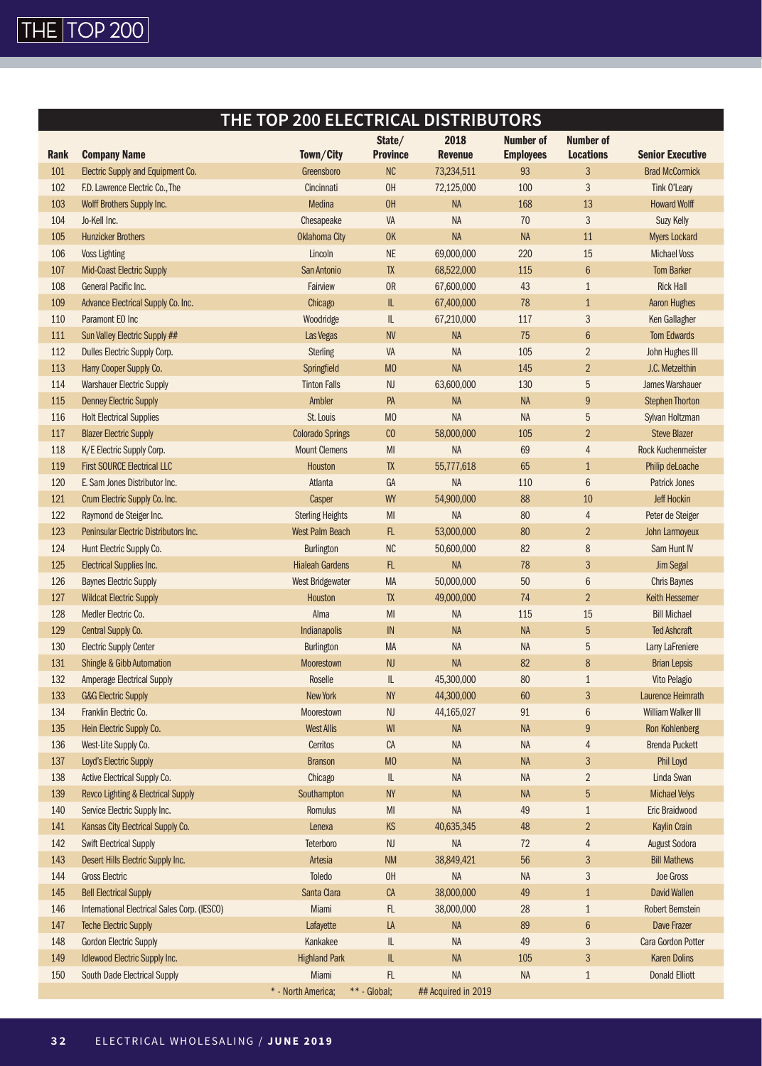

## **THE TOP 200 ELECTRICAL DISTRIBUTORS**

| Rank | <b>Company Name</b>                                      | Town/City               | State/<br><b>Province</b>          | 2018<br><b>Revenue</b>  | Number of<br><b>Employees</b> | <b>Number of</b><br><b>Locations</b> | <b>Senior Executive</b>       |
|------|----------------------------------------------------------|-------------------------|------------------------------------|-------------------------|-------------------------------|--------------------------------------|-------------------------------|
| 101  | Electric Supply and Equipment Co.                        | Greensboro              | NC                                 | 73,234,511              | 93                            | 3                                    | <b>Brad McCormick</b>         |
| 102  | F.D. Lawrence Electric Co., The                          | Cincinnati              | OH                                 | 72,125,000              | 100                           | 3                                    | Tink O'Leary                  |
| 103  | Wolff Brothers Supply Inc.                               | Medina                  | OH                                 | <b>NA</b>               | 168                           | 13                                   | <b>Howard Wolff</b>           |
| 104  | Jo-Kell Inc.                                             | Chesapeake              | VA                                 | <b>NA</b>               | 70                            | 3                                    | Suzy Kelly                    |
| 105  | <b>Hunzicker Brothers</b>                                | <b>Oklahoma City</b>    | <b>OK</b>                          | <b>NA</b>               | <b>NA</b>                     | 11                                   | <b>Myers Lockard</b>          |
| 106  | <b>Voss Lighting</b>                                     | Lincoln                 | $\mathsf{NE}\xspace$               | 69,000,000              | 220                           | 15                                   | <b>Michael Voss</b>           |
| 107  | <b>Mid-Coast Electric Supply</b>                         | San Antonio             | <b>TX</b>                          | 68,522,000              | 115                           | $\boldsymbol{6}$                     | <b>Tom Barker</b>             |
| 108  | General Pacific Inc.                                     | Fairview                | <b>OR</b>                          | 67,600,000              | 43                            | $\mathbf{1}$                         | <b>Rick Hall</b>              |
| 109  | Advance Electrical Supply Co. Inc.                       | Chicago                 | $\ensuremath{\mathsf{IL}}\xspace$  | 67,400,000              | 78                            | $\mathbf{1}$                         | <b>Aaron Hughes</b>           |
| 110  | Paramont EO Inc                                          | Woodridge               | $\mathsf{IL}$                      | 67,210,000              | 117                           | 3                                    | Ken Gallagher                 |
| 111  | Sun Valley Electric Supply ##                            | Las Vegas               | <b>NV</b>                          | <b>NA</b>               | 75                            | $\boldsymbol{6}$                     | <b>Tom Edwards</b>            |
| 112  | Dulles Electric Supply Corp.                             | <b>Sterling</b>         | VA                                 | <b>NA</b>               | 105                           | $\overline{2}$                       | John Hughes III               |
| 113  | Harry Cooper Supply Co.                                  | Springfield             | M <sub>0</sub>                     | <b>NA</b>               | 145                           | $\overline{2}$                       | J.C. Metzelthin               |
| 114  | <b>Warshauer Electric Supply</b>                         | <b>Tinton Falls</b>     | <b>NJ</b>                          | 63,600,000              | 130                           | 5                                    | James Warshauer               |
| 115  | <b>Denney Electric Supply</b>                            | Ambler                  | PA                                 | <b>NA</b>               | <b>NA</b>                     | 9                                    | <b>Stephen Thorton</b>        |
| 116  | <b>Holt Electrical Supplies</b>                          | St. Louis               | M <sub>0</sub>                     | <b>NA</b>               | NA                            | 5                                    | Sylvan Holtzman               |
| 117  | <b>Blazer Electric Supply</b>                            | <b>Colorado Springs</b> | C <sub>0</sub>                     | 58,000,000              | 105                           | $\overline{2}$                       | <b>Steve Blazer</b>           |
| 118  | K/E Electric Supply Corp.                                | <b>Mount Clemens</b>    | MI                                 | <b>NA</b>               | 69                            | 4                                    | Rock Kuchenmeister            |
| 119  | <b>First SOURCE Electrical LLC</b>                       | Houston                 | <b>TX</b>                          | 55,777,618              | 65                            | $\mathbf{1}$                         | Philip deLoache               |
| 120  | E. Sam Jones Distributor Inc.                            | Atlanta                 | GA                                 | <b>NA</b>               | 110                           | $\boldsymbol{6}$                     | <b>Patrick Jones</b>          |
| 121  |                                                          | Casper                  | WY                                 | 54,900,000              | 88                            | 10                                   | <b>Jeff Hockin</b>            |
| 122  | Crum Electric Supply Co. Inc.<br>Raymond de Steiger Inc. | <b>Sterling Heights</b> | MI                                 | <b>NA</b>               | 80                            | $\overline{4}$                       | Peter de Steiger              |
| 123  | Peninsular Electric Distributors Inc.                    | <b>West Palm Beach</b>  | FL                                 |                         | 80                            |                                      |                               |
| 124  | Hunt Electric Supply Co.                                 |                         | NC                                 | 53,000,000              | 82                            | $\overline{2}$<br>8                  | John Larmoyeux<br>Sam Hunt IV |
| 125  |                                                          | Burlington              | FL                                 | 50,600,000<br><b>NA</b> | 78                            |                                      |                               |
| 126  | <b>Electrical Supplies Inc.</b>                          | <b>Hialeah Gardens</b>  | MA                                 | 50,000,000              | 50                            | 3                                    | <b>Jim Segal</b>              |
|      | <b>Baynes Electric Supply</b>                            | <b>West Bridgewater</b> | <b>TX</b>                          |                         | 74                            | $\boldsymbol{6}$<br>$\overline{2}$   | <b>Chris Baynes</b>           |
| 127  | <b>Wildcat Electric Supply</b>                           | Houston                 |                                    | 49,000,000              |                               |                                      | Keith Hessemer                |
| 128  | Medler Electric Co.                                      | Alma                    | MI                                 | <b>NA</b>               | 115                           | 15                                   | <b>Bill Michael</b>           |
| 129  | Central Supply Co.                                       | <b>Indianapolis</b>     | IN                                 | <b>NA</b>               | <b>NA</b>                     | 5                                    | <b>Ted Ashcraft</b>           |
| 130  | <b>Electric Supply Center</b>                            | Burlington              | MA                                 | <b>NA</b>               | <b>NA</b>                     | 5                                    | Larry LaFreniere              |
| 131  | Shingle & Gibb Automation                                | Moorestown              | <b>NJ</b>                          | <b>NA</b>               | 82                            | 8                                    | <b>Brian Lepsis</b>           |
| 132  | <b>Amperage Electrical Supply</b>                        | Roselle                 | IL                                 | 45,300,000              | 80                            | $\mathbf{1}$                         | Vito Pelagio                  |
| 133  | <b>G&amp;G Electric Supply</b>                           | New York                | <b>NY</b>                          | 44,300,000              | 60                            | $\mathfrak{Z}$                       | Laurence Heimrath             |
| 134  | Franklin Electric Co.                                    | Moorestown              | NJ                                 | 44,165,027              | 91                            | 6                                    | William Walker III            |
| 135  | Hein Electric Supply Co.                                 | <b>West Allis</b>       | WI                                 | <b>NA</b>               | <b>NA</b>                     | $\overline{9}$                       | <b>Ron Kohlenberg</b>         |
| 136  | West-Lite Supply Co.                                     | Cerritos                | CA                                 | <b>NA</b>               | NA                            | 4                                    | <b>Brenda Puckett</b>         |
| 137  | Loyd's Electric Supply                                   | <b>Branson</b>          | M <sub>0</sub>                     | <b>NA</b>               | <b>NA</b>                     | 3                                    | Phil Loyd                     |
| 138  | Active Electrical Supply Co.                             | Chicago                 | $\mathsf{IL}$                      | NA                      | NA                            | $\overline{2}$                       | Linda Swan                    |
| 139  | Revco Lighting & Electrical Supply                       | Southampton             | <b>NY</b>                          | <b>NA</b>               | <b>NA</b>                     | 5                                    | <b>Michael Velys</b>          |
| 140  | Service Electric Supply Inc.                             | Romulus                 | M <sub>l</sub>                     | NA                      | 49                            | $\mathbf{1}$                         | Eric Braidwood                |
| 141  | Kansas City Electrical Supply Co.                        | Lenexa                  | $\mathsf{KS}% _{\mathsf{K}}^{(k)}$ | 40,635,345              | 48                            | $\overline{2}$                       | <b>Kaylin Crain</b>           |
| 142  | Swift Electrical Supply                                  | Teterboro               | $\mathsf{NJ}$                      | NA                      | 72                            | 4                                    | <b>August Sodora</b>          |
| 143  | Desert Hills Electric Supply Inc.                        | Artesia                 | <b>NM</b>                          | 38,849,421              | 56                            | 3                                    | <b>Bill Mathews</b>           |
| 144  | <b>Gross Electric</b>                                    | Toledo                  | OH                                 | $\sf NA$                | NA                            | 3                                    | Joe Gross                     |
| 145  | <b>Bell Electrical Supply</b>                            | Santa Clara             | CA                                 | 38,000,000              | 49                            | $\mathbf{1}$                         | <b>David Wallen</b>           |
| 146  | International Electrical Sales Corp. (IESCO)             | Miami                   | <b>FL</b>                          | 38,000,000              | 28                            | $\mathbf{1}$                         | <b>Robert Bernstein</b>       |
| 147  | <b>Teche Electric Supply</b>                             | Lafayette               | LA                                 | <b>NA</b>               | 89                            | $6\phantom{.}6$                      | Dave Frazer                   |
| 148  | <b>Gordon Electric Supply</b>                            | Kankakee                | IL                                 | NA                      | 49                            | 3                                    | Cara Gordon Potter            |
| 149  | Idlewood Electric Supply Inc.                            | <b>Highland Park</b>    | IL                                 | <b>NA</b>               | 105                           | 3                                    | <b>Karen Dolins</b>           |
| 150  | South Dade Electrical Supply                             | Miami                   | FL                                 | <b>NA</b>               | NA                            | $\mathbf{1}$                         | <b>Donald Elliott</b>         |
|      |                                                          | * - North America;      | ** - Global;                       | ## Acquired in 2019     |                               |                                      |                               |